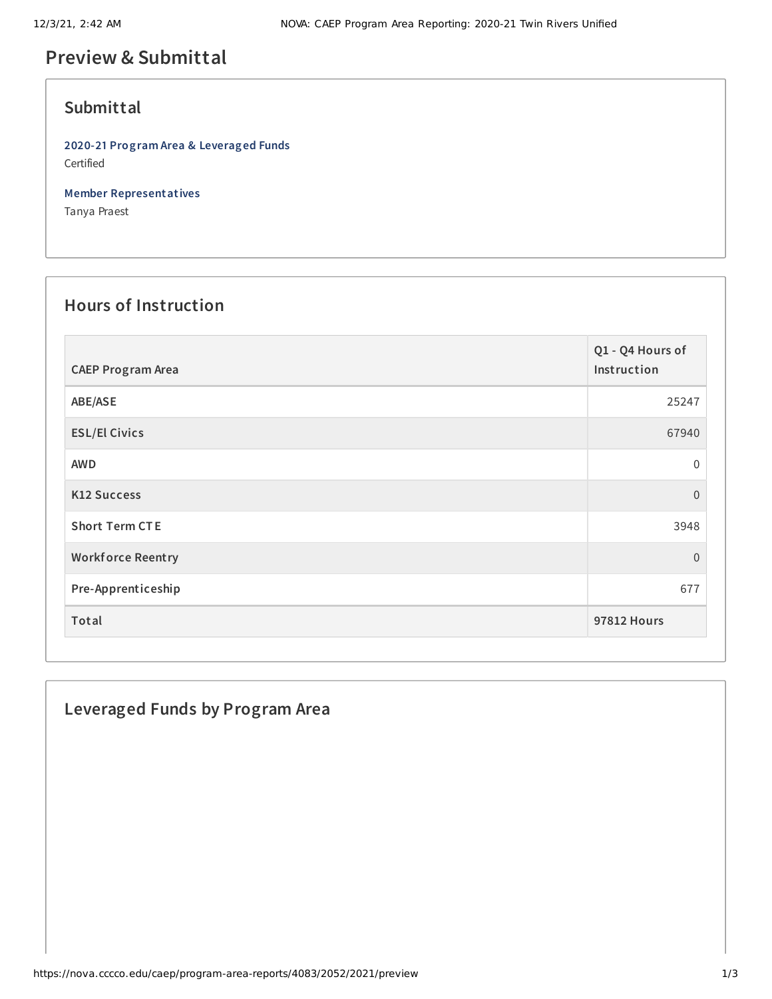# **Preview & Submittal**

### **Submittal**

**2020-21 Program Area & Leveraged Funds** Certified

**Member Representatives**

Tanya Praest

## **Hours of Instruction**

| <b>CAEP Program Area</b> | Q1 - Q4 Hours of<br>Instruction |
|--------------------------|---------------------------------|
| ABE/ASE                  | 25247                           |
| <b>ESL/El Civics</b>     | 67940                           |
| <b>AWD</b>               | 0                               |
| <b>K12 Success</b>       | $\overline{0}$                  |
| <b>Short Term CTE</b>    | 3948                            |
| <b>Workforce Reentry</b> | $\overline{0}$                  |
| Pre-Apprenticeship       | 677                             |
| Total                    | <b>97812 Hours</b>              |

### **Leveraged Funds by Program Area**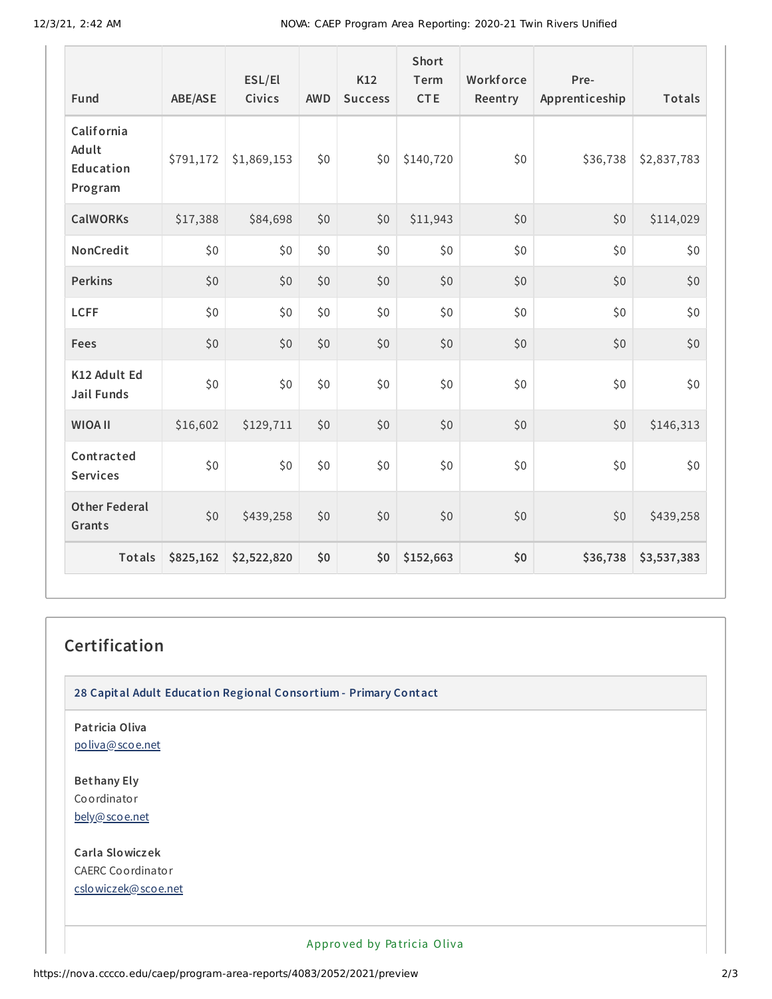| Fund                                        | <b>ABE/ASE</b> | ESL/El<br>Civics | <b>AWD</b> | K12<br><b>Success</b> | Short<br>Term<br><b>CTE</b> | Workforce<br>Reentry | Pre-<br>Apprenticeship | Totals      |
|---------------------------------------------|----------------|------------------|------------|-----------------------|-----------------------------|----------------------|------------------------|-------------|
| California<br>Adult<br>Education<br>Program | \$791,172      | \$1,869,153      | \$0        | \$0                   | \$140,720                   | \$0                  | \$36,738               | \$2,837,783 |
| <b>CalWORKs</b>                             | \$17,388       | \$84,698         | \$0        | \$0                   | \$11,943                    | \$0                  | \$0                    | \$114,029   |
| NonCredit                                   | \$0            | \$0              | \$0        | \$0                   | \$0                         | \$0                  | \$0                    | \$0         |
| <b>Perkins</b>                              | \$0            | \$0              | \$0        | \$0                   | \$0                         | \$0                  | \$0                    | \$0         |
| <b>LCFF</b>                                 | \$0            | \$0              | \$0        | \$0                   | \$0                         | \$0                  | \$0                    | \$0         |
| Fees                                        | \$0            | \$0              | \$0        | \$0                   | \$0                         | \$0                  | \$0                    | \$0         |
| K12 Adult Ed<br><b>Jail Funds</b>           | \$0            | \$0              | \$0        | \$0                   | \$0                         | \$0                  | \$0                    | \$0         |
| <b>WIOA II</b>                              | \$16,602       | \$129,711        | \$0        | \$0                   | \$0                         | \$0                  | \$0                    | \$146,313   |
| Contracted<br><b>Services</b>               | \$0            | \$0              | \$0        | \$0                   | \$0                         | \$0                  | \$0                    | \$0         |
| <b>Other Federal</b><br>Grants              | \$0            | \$439,258        | \$0        | \$0                   | \$0                         | \$0                  | \$0                    | \$439,258   |
| Totals                                      | \$825,162      | \$2,522,820      | \$0        | \$0                   | \$152,663                   | \$0                  | \$36,738               | \$3,537,383 |

#### **Certification**

**28 Capital Adult Education Regional Consortium - Primary Contact**

**Patricia Oliva** [poliva@scoe.net](mailto:poliva@scoe.net)

**Bethany Ely** Coordinator [bely@scoe.net](mailto:bely@scoe.net)

**Carla Slowiczek** CAERC Coordinator [cslowiczek@scoe.net](mailto:cslowiczek@scoe.net)

Appro ved by Pa tricia Oliva